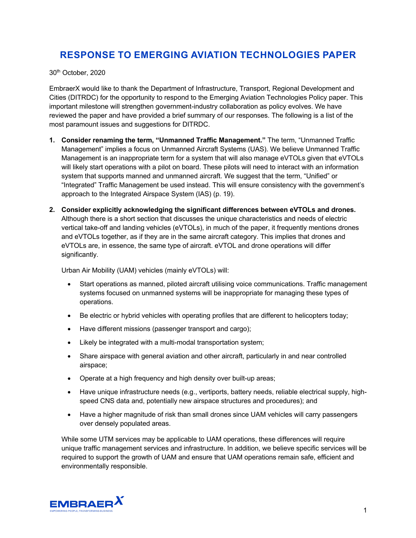## **RESPONSE TO EMERGING AVIATION TECHNOLOGIES PAPER**

30th October, 2020

EmbraerX would like to thank the Department of Infrastructure, Transport, Regional Development and Cities (DITRDC) for the opportunity to respond to the Emerging Aviation Technologies Policy paper. This important milestone will strengthen government-industry collaboration as policy evolves. We have reviewed the paper and have provided a brief summary of our responses. The following is a list of the most paramount issues and suggestions for DITRDC.

- **1. Consider renaming the term, "Unmanned Traffic Management."** The term, "Unmanned Traffic Management" implies a focus on Unmanned Aircraft Systems (UAS). We believe Unmanned Traffic Management is an inappropriate term for a system that will also manage eVTOLs given that eVTOLs will likely start operations with a pilot on board. These pilots will need to interact with an information system that supports manned and unmanned aircraft. We suggest that the term, "Unified" or "Integrated" Traffic Management be used instead. This will ensure consistency with the government's approach to the Integrated Airspace System (IAS) (p. 19).
- **2. Consider explicitly acknowledging the significant differences between eVTOLs and drones.** Although there is a short section that discusses the unique characteristics and needs of electric vertical take-off and landing vehicles (eVTOLs), in much of the paper, it frequently mentions drones and eVTOLs together, as if they are in the same aircraft category. This implies that drones and eVTOLs are, in essence, the same type of aircraft. eVTOL and drone operations will differ significantly.

Urban Air Mobility (UAM) vehicles (mainly eVTOLs) will:

- Start operations as manned, piloted aircraft utilising voice communications. Traffic management systems focused on unmanned systems will be inappropriate for managing these types of operations.
- Be electric or hybrid vehicles with operating profiles that are different to helicopters today;
- Have different missions (passenger transport and cargo);
- Likely be integrated with a multi-modal transportation system;
- Share airspace with general aviation and other aircraft, particularly in and near controlled airspace;
- Operate at a high frequency and high density over built-up areas;
- Have unique infrastructure needs (e.g., vertiports, battery needs, reliable electrical supply, highspeed CNS data and, potentially new airspace structures and procedures); and
- Have a higher magnitude of risk than small drones since UAM vehicles will carry passengers over densely populated areas.

While some UTM services may be applicable to UAM operations, these differences will require unique traffic management services and infrastructure. In addition, we believe specific services will be required to support the growth of UAM and ensure that UAM operations remain safe, efficient and environmentally responsible.